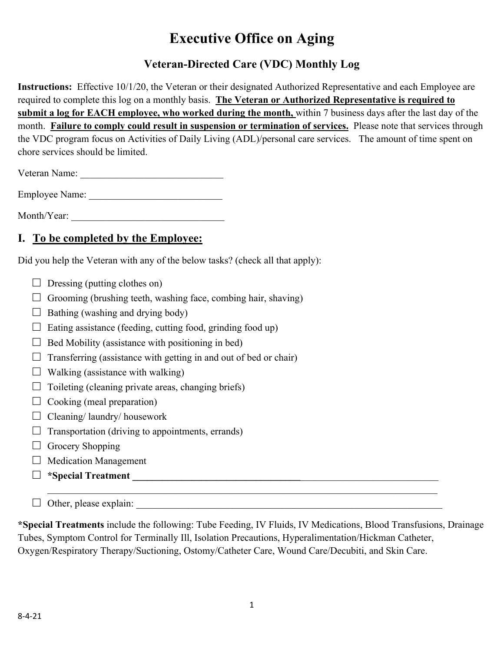## **Executive Office on Aging**

## **Veteran-Directed Care (VDC) Monthly Log**

**Instructions:** Effective 10/1/20, the Veteran or their designated Authorized Representative and each Employee are required to complete this log on a monthly basis. **The Veteran or Authorized Representative is required to submit a log for EACH employee, who worked during the month,** within 7 business days after the last day of the month. **Failure to comply could result in suspension or termination of services.** Please note that services through the VDC program focus on Activities of Daily Living (ADL)/personal care services. The amount of time spent on chore services should be limited.

| Veteran Name: |  |
|---------------|--|
|---------------|--|

Employee Name: \_\_\_\_\_\_\_\_\_\_\_\_\_\_\_\_\_\_\_\_\_\_\_\_\_\_\_

Month/Year:

## **I. To be completed by the Employee:**

Did you help the Veteran with any of the below tasks? (check all that apply):

- $\Box$  Dressing (putting clothes on)
- $\Box$  Grooming (brushing teeth, washing face, combing hair, shaving)
- $\Box$  Bathing (washing and drying body)
- $\Box$  Eating assistance (feeding, cutting food, grinding food up)
- $\Box$  Bed Mobility (assistance with positioning in bed)
- $\Box$  Transferring (assistance with getting in and out of bed or chair)
- $\Box$  Walking (assistance with walking)
- $\Box$  Toileting (cleaning private areas, changing briefs)
- $\Box$  Cooking (meal preparation)
- $\Box$  Cleaning/ laundry/ housework
- $\Box$  Transportation (driving to appointments, errands)
- $\Box$  Grocery Shopping
- $\Box$  Medication Management
- □ **\*Special Treatment \_\_\_\_\_\_\_\_\_\_\_\_\_\_\_\_\_\_\_\_\_\_\_\_\_\_\_\_\_\_\_\_\_\_**\_\_\_\_\_\_\_\_\_\_\_\_\_\_\_\_\_\_\_\_\_\_\_\_\_\_\_\_

 $\Box$  Other, please explain:

**\*Special Treatments** include the following: Tube Feeding, IV Fluids, IV Medications, Blood Transfusions, Drainage Tubes, Symptom Control for Terminally Ill, Isolation Precautions, Hyperalimentation/Hickman Catheter, Oxygen/Respiratory Therapy/Suctioning, Ostomy/Catheter Care, Wound Care/Decubiti, and Skin Care.

\_\_\_\_\_\_\_\_\_\_\_\_\_\_\_\_\_\_\_\_\_\_\_\_\_\_\_\_\_\_\_\_\_\_\_\_\_\_\_\_\_\_\_\_\_\_\_\_\_\_\_\_\_\_\_\_\_\_\_\_\_\_\_\_\_\_\_\_\_\_\_\_\_\_\_\_\_\_\_